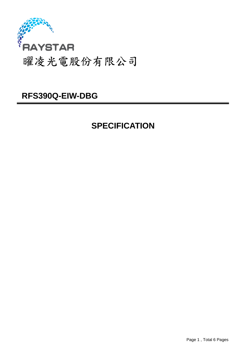

## **SPECIFICATION**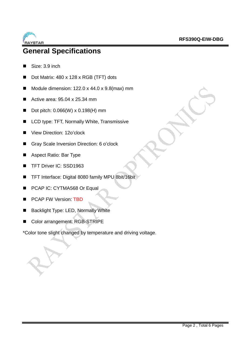

### **General Specifications**

- Size: 3.9 inch
- Dot Matrix: 480 x 128 x RGB (TFT) dots
- Module dimension:  $122.0 \times 44.0 \times 9.8$ (max) mm
- Active area: 95.04 x 25.34 mm
- Dot pitch:  $0.066(W) \times 0.198(H)$  mm
- LCD type: TFT, Normally White, Transmissive
- View Direction: 12o'clock
- Gray Scale Inversion Direction: 6 o'clock
- Aspect Ratio: Bar Type
- TFT Driver IC: SSD1963
- TFT Interface: Digital 8080 family MPU 8bit/16bit
- **PCAP IC: CYTMA568 Or Equal**
- **PCAP FW Version: TBD**
- Backlight Type: LED, Normally White
- Color arrangement: RGB-STRIPE

\*Color tone slight changed by temperature and driving voltage.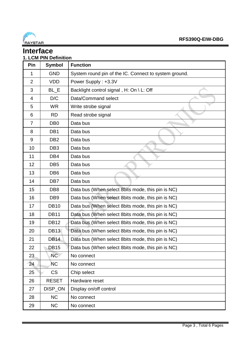

#### **Interface 1. LCM PIN Definition**

| Pin            | <b>Symbol</b>   | <b>Function</b>                                       |
|----------------|-----------------|-------------------------------------------------------|
| 1              | <b>GND</b>      | System round pin of the IC. Connect to system ground. |
| $\overline{2}$ | <b>VDD</b>      | Power Supply: +3.3V                                   |
| 3              | BL_E            | Backlight control signal, H: On \ L: Off              |
| 4              | D/C             | Data/Command select                                   |
| 5              | <b>WR</b>       | Write strobe signal                                   |
| 6              | <b>RD</b>       | Read strobe signal                                    |
| $\overline{7}$ | DB <sub>0</sub> | Data bus                                              |
| 8              | DB1             | Data bus                                              |
| 9              | DB <sub>2</sub> | Data bus                                              |
| 10             | DB <sub>3</sub> | Data bus                                              |
| 11             | DB4             | Data bus                                              |
| 12             | DB <sub>5</sub> | Data bus                                              |
| 13             | DB <sub>6</sub> | Data bus                                              |
| 14             | DB7             | Data bus                                              |
| 15             | DB <sub>8</sub> | Data bus (When select 8bits mode, this pin is NC)     |
| 16             | DB <sub>9</sub> | Data bus (When select 8bits mode, this pin is NC)     |
| 17             | <b>DB10</b>     | Data bus (When select 8bits mode, this pin is NC)     |
| 18             | <b>DB11</b>     | Data bus (When select 8bits mode, this pin is NC)     |
| 19             | <b>DB12</b>     | Data bus (When select 8bits mode, this pin is NC)     |
| 20             | <b>DB13</b>     | Data bus (When select 8bits mode, this pin is NC)     |
| 21             | <b>DB14</b>     | Data bus (When select 8bits mode, this pin is NC)     |
| 22             | <b>DB15</b>     | Data bus (When select 8bits mode, this pin is NC)     |
| 23             | NC              | No connect                                            |
| 24             | <b>NC</b>       | No connect                                            |
| 25             | <b>CS</b>       | Chip select                                           |
| 26             | <b>RESET</b>    | Hardware reset                                        |
| 27             | DISP_ON         | Display on/off control                                |
| 28             | <b>NC</b>       | No connect                                            |
| 29             | <b>NC</b>       | No connect                                            |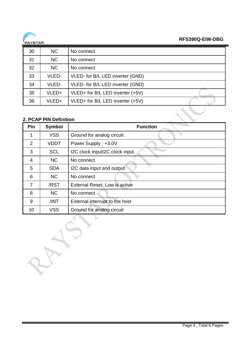

| 30 | <b>NC</b> | No connect                       |
|----|-----------|----------------------------------|
| 31 | NC        | No connect                       |
| 32 | NC        | No connect                       |
| 33 | VLED-     | VLED- for B/L LED inverter (GND) |
| 34 | VLED-     | VLED- for B/L LED inverter (GND) |
| 35 | VLED+     | VLED+ for B/L LED inverter (+5V) |
| 36 | VLED+     | VLED+ for B/L LED inverter (+5V) |

### **2. PCAP PIN Definition**

| Pin            | <b>Symbol</b> | <b>Function</b>                |  |  |  |
|----------------|---------------|--------------------------------|--|--|--|
| 1              | <b>VSS</b>    | Ground for analog circuit      |  |  |  |
| 2              | <b>VDDT</b>   | Power Supply: +3.0V            |  |  |  |
| 3              | <b>SCL</b>    | I2C clock inputI2C clock input |  |  |  |
| $\overline{4}$ | <b>NC</b>     | No connect                     |  |  |  |
| 5              | <b>SDA</b>    | I2C data input and output      |  |  |  |
| 6              | <b>NC</b>     | No connect                     |  |  |  |
| $\overline{7}$ | /RST          | External Reset, Low is active  |  |  |  |
| 8              | <b>NC</b>     | No connect                     |  |  |  |
| 9              | /INT          | External interrupt to the host |  |  |  |
| 10             | <b>VSS</b>    | Ground for analog circuit      |  |  |  |

GY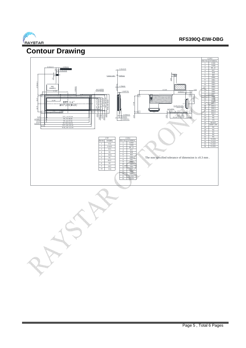

## **Contour Drawing**